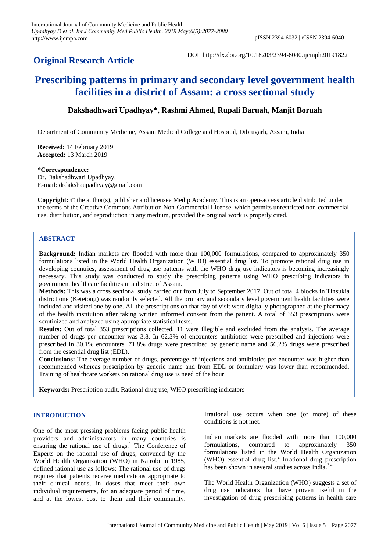# **Original Research Article**

DOI: http://dx.doi.org/10.18203/2394-6040.ijcmph20191822

# **Prescribing patterns in primary and secondary level government health facilities in a district of Assam: a cross sectional study**

# **Dakshadhwari Upadhyay\*, Rashmi Ahmed, Rupali Baruah, Manjit Boruah**

Department of Community Medicine, Assam Medical College and Hospital, Dibrugarh, Assam, India

**Received:** 14 February 2019 **Accepted:** 13 March 2019

#### **\*Correspondence:**

Dr. Dakshadhwari Upadhyay, E-mail: drdakshaupadhyay@gmail.com

**Copyright:** © the author(s), publisher and licensee Medip Academy. This is an open-access article distributed under the terms of the Creative Commons Attribution Non-Commercial License, which permits unrestricted non-commercial use, distribution, and reproduction in any medium, provided the original work is properly cited.

## **ABSTRACT**

**Background:** Indian markets are flooded with more than 100,000 formulations, compared to approximately 350 formulations listed in the World Health Organization (WHO) essential drug list. To promote rational drug use in developing countries, assessment of drug use patterns with the WHO drug use indicators is becoming increasingly necessary. This study was conducted to study the prescribing patterns using WHO prescribing indicators in government healthcare facilities in a district of Assam.

**Methods:** This was a cross sectional study carried out from July to September 2017. Out of total 4 blocks in Tinsukia district one (Ketetong) was randomly selected. All the primary and secondary level government health facilities were included and visited one by one. All the prescriptions on that day of visit were digitally photographed at the pharmacy of the health institution after taking written informed consent from the patient. A total of 353 prescriptions were scrutinized and analyzed using appropriate statistical tests.

**Results:** Out of total 353 prescriptions collected, 11 were illegible and excluded from the analysis. The average number of drugs per encounter was 3.8. In 62.3% of encounters antibiotics were prescribed and injections were prescribed in 30.1% encounters. 71.8% drugs were prescribed by generic name and 56.2% drugs were prescribed from the essential drug list (EDL).

**Conclusions:** The average number of drugs, percentage of injections and antibiotics per encounter was higher than recommended whereas prescription by generic name and from EDL or formulary was lower than recommended. Training of healthcare workers on rational drug use is need of the hour.

**Keywords:** Prescription audit, Rational drug use, WHO prescribing indicators

### **INTRODUCTION**

One of the most pressing problems facing public health providers and administrators in many countries is ensuring the rational use of drugs.<sup>1</sup> The Conference of Experts on the rational use of drugs, convened by the World Health Organization (WHO) in Nairobi in 1985, defined rational use as follows: The rational use of drugs requires that patients receive medications appropriate to their clinical needs, in doses that meet their own individual requirements, for an adequate period of time, and at the lowest cost to them and their community. Irrational use occurs when one (or more) of these conditions is not met.

Indian markets are flooded with more than 100,000 formulations, compared to approximately 350 formulations listed in the World Health Organization (WHO) essential drug list.<sup>2</sup> Irrational drug prescription has been shown in several studies across India.<sup>3,4</sup>

The World Health Organization (WHO) suggests a set of drug use indicators that have proven useful in the investigation of drug prescribing patterns in health care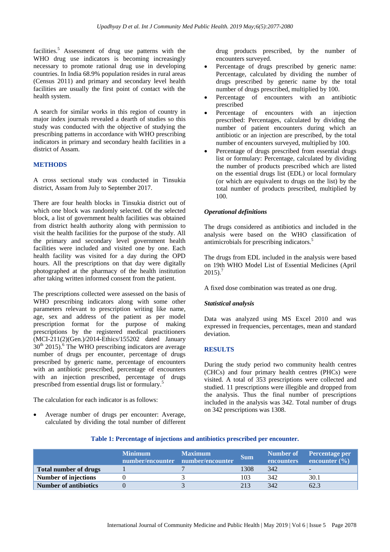facilities.<sup>5</sup> Assessment of drug use patterns with the WHO drug use indicators is becoming increasingly necessary to promote rational drug use in developing countries. In India 68.9% population resides in rural areas (Census 2011) and primary and secondary level health facilities are usually the first point of contact with the health system.

A search for similar works in this region of country in major index journals revealed a dearth of studies so this study was conducted with the objective of studying the prescribing patterns in accordance with WHO prescribing indicators in primary and secondary health facilities in a district of Assam.

### **METHODS**

A cross sectional study was conducted in Tinsukia district, Assam from July to September 2017.

There are four health blocks in Tinsukia district out of which one block was randomly selected. Of the selected block, a list of government health facilities was obtained from district health authority along with permission to visit the health facilities for the purpose of the study. All the primary and secondary level government health facilities were included and visited one by one. Each health facility was visited for a day during the OPD hours. All the prescriptions on that day were digitally photographed at the pharmacy of the health institution after taking written informed consent from the patient.

The prescriptions collected were assessed on the basis of WHO prescribing indicators along with some other parameters relevant to prescription writing like name, age, sex and address of the patient as per model prescription format for the purpose of making prescriptions by the registered medical practitioners (MCI-211(2)(Gen.)/2014-Ethics/155202 dated January  $30<sup>th</sup>$  2015).<sup>6</sup> The WHO prescribing indicators are average number of drugs per encounter, percentage of drugs prescribed by generic name, percentage of encounters with an antibiotic prescribed, percentage of encounters with an injection prescribed, percentage of drugs prescribed from essential drugs list or formulary.<sup>5</sup>

The calculation for each indicator is as follows:

 Average number of drugs per encounter: Average, calculated by dividing the total number of different drug products prescribed, by the number of encounters surveyed.

- Percentage of drugs prescribed by generic name: Percentage, calculated by dividing the number of drugs prescribed by generic name by the total number of drugs prescribed, multiplied by 100.
- Percentage of encounters with an antibiotic prescribed
- Percentage of encounters with an injection prescribed: Percentages, calculated by dividing the number of patient encounters during which an antibiotic or an injection are prescribed, by the total number of encounters surveyed, multiplied by 100.
- Percentage of drugs prescribed from essential drugs list or formulary: Percentage, calculated by dividing the number of products prescribed which are listed on the essential drugs list (EDL) or local formulary (or which are equivalent to drugs on the list) by the total number of products prescribed, multiplied by 100.

### *Operational definitions*

The drugs considered as antibiotics and included in the analysis were based on the WHO classification of antimicrobials for prescribing indicators.<sup>5</sup>

The drugs from EDL included in the analysis were based on 19th WHO Model List of Essential Medicines (April  $2015$ ).<sup>7</sup>

A fixed dose combination was treated as one drug.

### *Statistical analysis*

Data was analyzed using MS Excel 2010 and was expressed in frequencies, percentages, mean and standard deviation.

### **RESULTS**

During the study period two community health centres (CHCs) and four primary health centres (PHCs) were visited. A total of 353 prescriptions were collected and studied. 11 prescriptions were illegible and dropped from the analysis. Thus the final number of prescriptions included in the analysis was 342. Total number of drugs on 342 prescriptions was 1308.

|                              | <b>Minimum</b><br>number/encounter number/encounter | <b>Maximum</b> | <b>Sum</b> | <b>encounters</b> | Number of Percentage per<br>encounter $(\% )$ |
|------------------------------|-----------------------------------------------------|----------------|------------|-------------------|-----------------------------------------------|
| <b>Total number of drugs</b> |                                                     |                | 1308       | 342               | $\overline{\phantom{0}}$                      |
| <b>Number of injections</b>  |                                                     |                | 103        | 342               | 30.1                                          |
| <b>Number of antibiotics</b> |                                                     |                | 213        | 342               | 62.3                                          |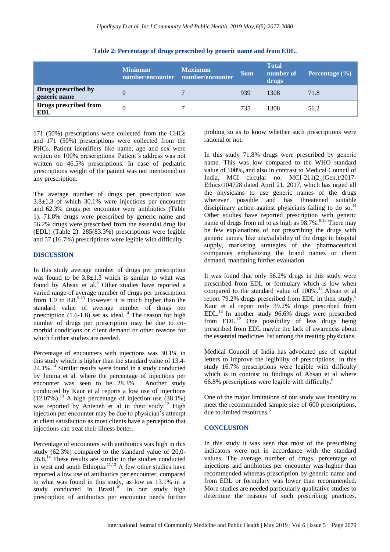|                                     | <b>Minimum</b> | <b>Maximum</b><br>number/encounter number/encounter | <b>Sum</b> | <b>Total</b><br>number of<br>drugs | <b>Percentage</b> $(\%)$ |
|-------------------------------------|----------------|-----------------------------------------------------|------------|------------------------------------|--------------------------|
| Drugs prescribed by<br>generic name |                | ⇁                                                   | 939        | 1308                               | 71.8                     |
| Drugs prescribed from<br><b>EDL</b> |                |                                                     | 735        | 1308                               | 56.2                     |

**Table 2: Percentage of drugs prescribed by generic name and from EDL.**

171 (50%) prescriptions were collected from the CHCs and 171 (50%) prescriptions were collected from the PHCs. Patient identifiers like name, age and sex were written on 100% prescriptions. Patient's address was not written on 46.5% prescriptions. In case of pediatric prescriptions weight of the patient was not mentioned on any prescription.

The average number of drugs per prescription was 3.8±1.3 of which 30.1% were injections per encounter and 62.3% drugs per encounter were antibiotics (Table 1). 71.8% drugs were prescribed by generic name and 56.2% drugs were prescribed from the essential drug list (EDL) (Table 2). 285(83.3%) prescriptions were legible and 57 (16.7%) prescriptions were legible with difficulty.

### **DISCUSSION**

In this study average number of drugs per prescription was found to be  $3.8 \pm 1.3$  which is similar to what was found by Ahsan et al.<sup>8</sup> Other studies have reported a varied range of average number of drugs per prescription from 1.9 to  $8.8^{9-13}$  However it is much higher than the standard value of average number of drugs per prescription  $(1.6-1.8)$  set as ideal.<sup>14</sup> The reason for high number of drugs per prescription may be due to comorbid conditions or client demand or other reasons for which further studies are needed.

Percentage of encounters with injections was 30.1% in this study which is higher than the standard value of 13.4- 24.1%.<sup>14</sup> Similar results were found in a study conducted by Jimma et al. where the percentage of injections per encounter was seen to be 28.3%.<sup>11</sup> Another study conducted by Kaur et al reports a low use of injections  $(12.07\%)$ .<sup>13</sup> A high percentage of injection use  $(38.1\%)$ was reported by Anteneh et al in their study.<sup>12</sup> High injection per encounter may be due to physician's attempt at client satisfaction as most clients have a perception that injections can treat their illness better.

Percentage of encounters with antibiotics was high in this study (62.3%) compared to the standard value of 20.0- 26.8.<sup>14</sup> These results are similar to the studies conducted in west and south Ethiopia. $11,12$  A few other studies have reported a low use of antibiotics per encounter, compared to what was found in this study, as low as 13.1% in a study conducted in Brazil.<sup>10</sup> In our study high prescription of antibiotics per encounter needs further probing so as to know whether such prescriptions were rational or not.

In this study 71.8% drugs were prescribed by generic name. This was low compared to the WHO standard value of 100%, and also in contrast to Medical Council of India, MCI circular no. MCI-211(2\_(Gen.)/2017- Ethics/104728 dated April 21, 2017, which has urged all the physicians to use generic names of the drugs wherever possible and has threatened suitable disciplinary action against physicians failing to do so.<sup>14</sup> Other studies have reported prescription with generic name of drugs from nil to as high as  $98.7\%$ .<sup>8,12</sup> There may be few explanations of not prescribing the drugs with generic names, like unavailability of the drugs in hospital supply, marketing strategies of the pharmaceutical companies emphasizing the brand names or client demand, mandating further evaluation.

It was found that only 56.2% drugs in this study were prescribed from EDL or formulary which is low when compared to the standard value of  $100\%$ .<sup>14</sup> Ahsan et al report 79.2% drugs prescribed from EDL in their study.<sup>8</sup> Kaur et al report only 39.2% drugs prescribed from EDL.<sup>13</sup> In another study 96.6% drugs were prescribed from EDL.<sup>12</sup> One possibility of less drugs being prescribed from EDL maybe the lack of awareness about the essential medicines list among the treating physicians.

Medical Council of India has advocated use of capital letters to improve the legibility of prescriptions. In this study 16.7% prescriptions were legible with difficulty which is in contrast to findings of Ahsan et al where 66.8% prescriptions were legible with difficulty. $8$ 

One of the major limitations of our study was inability to meet the recommended sample size of 600 prescriptions, due to limited resources.<sup>5</sup>

### **CONCLUSION**

In this study it was seen that most of the prescribing indicators were not in accordance with the standard values. The average number of drugs, percentage of injections and antibiotics per encounter was higher than recommended whereas prescription by generic name and from EDL or formulary was lower than recommended. More studies are needed particularly qualitative studies to determine the reasons of such prescribing practices.